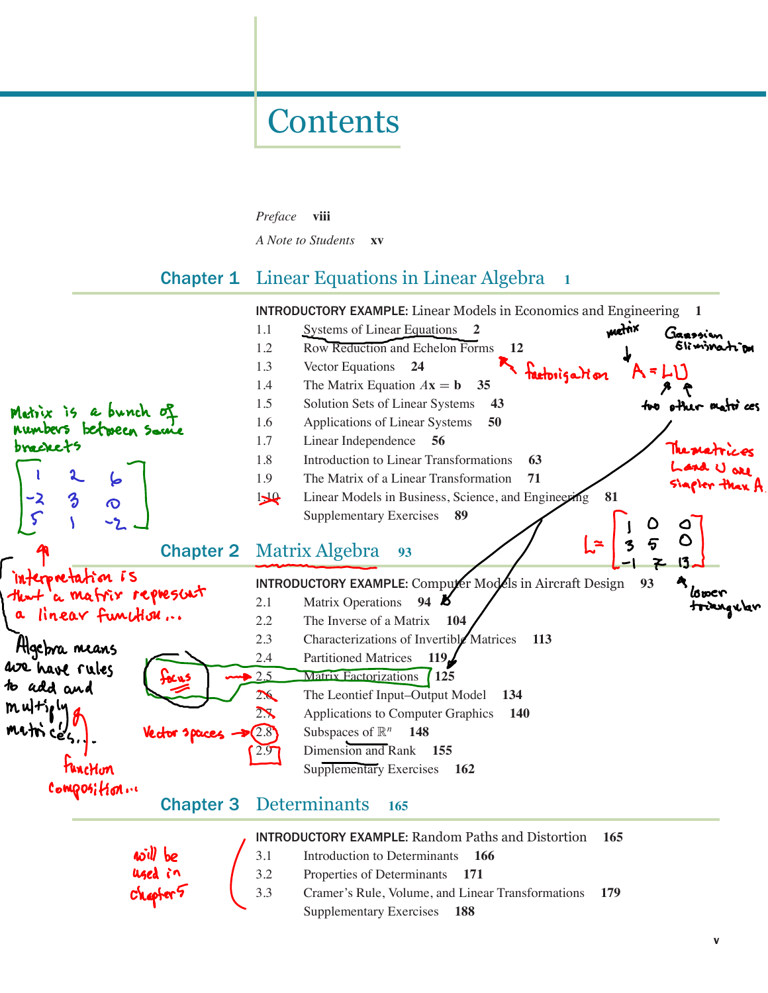# **Contents**

Preface viii

A Note to Students **xv** 

# **Chapter 1** Linear Equations in Linear Algebra 1

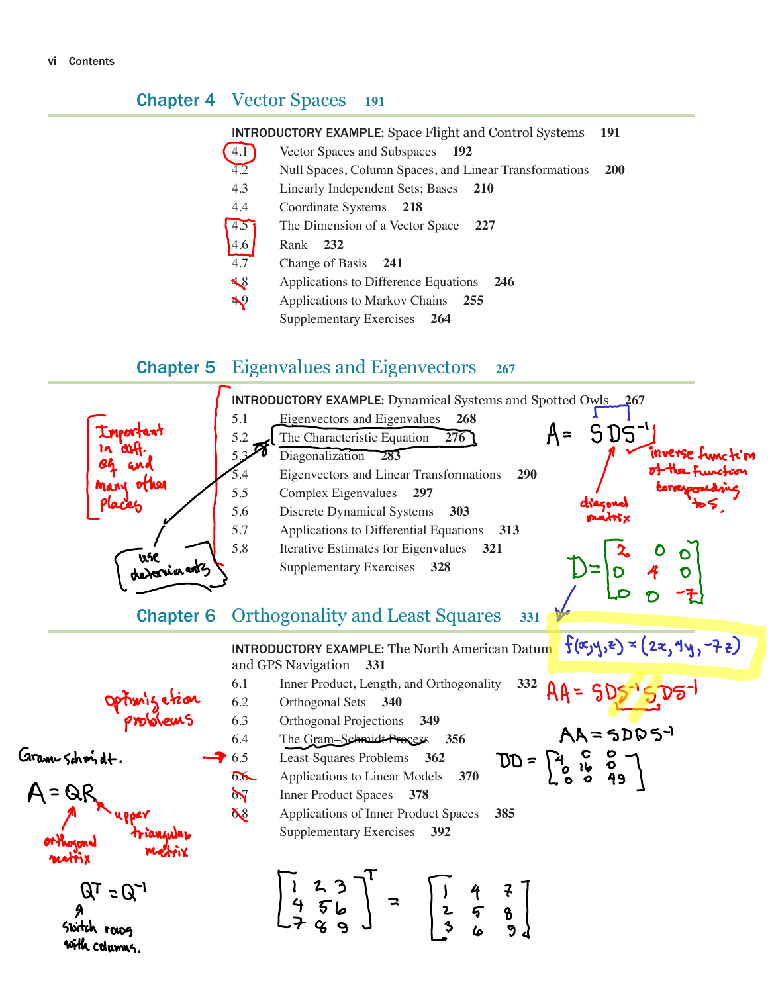#### **Chapter 4** Vector Spaces 191

| <b>INTRODUCTORY EXAMPLE:</b> Space Flight and Control Systems 191 |  |
|-------------------------------------------------------------------|--|
|-------------------------------------------------------------------|--|

- 4.1 Vector Spaces and Subspaces 192
- 4.2 Null Spaces, Column Spaces, and Linear Transformations 200
- 4.3 Linearly Independent Sets; Bases 210
- 4.4 Coordinate Systems 218
- 4.5 The Dimension of a Vector Space 227
- 4.6 Rank 232
- 4.7 Change of Basis 241
- 4.8 Applications to Difference Equations 246
- 4.9 Applications to Markov Chains 255
	- Supplementary Exercises 264

## **Chapter 5** Eigenvalues and Eigenvectors  $267$

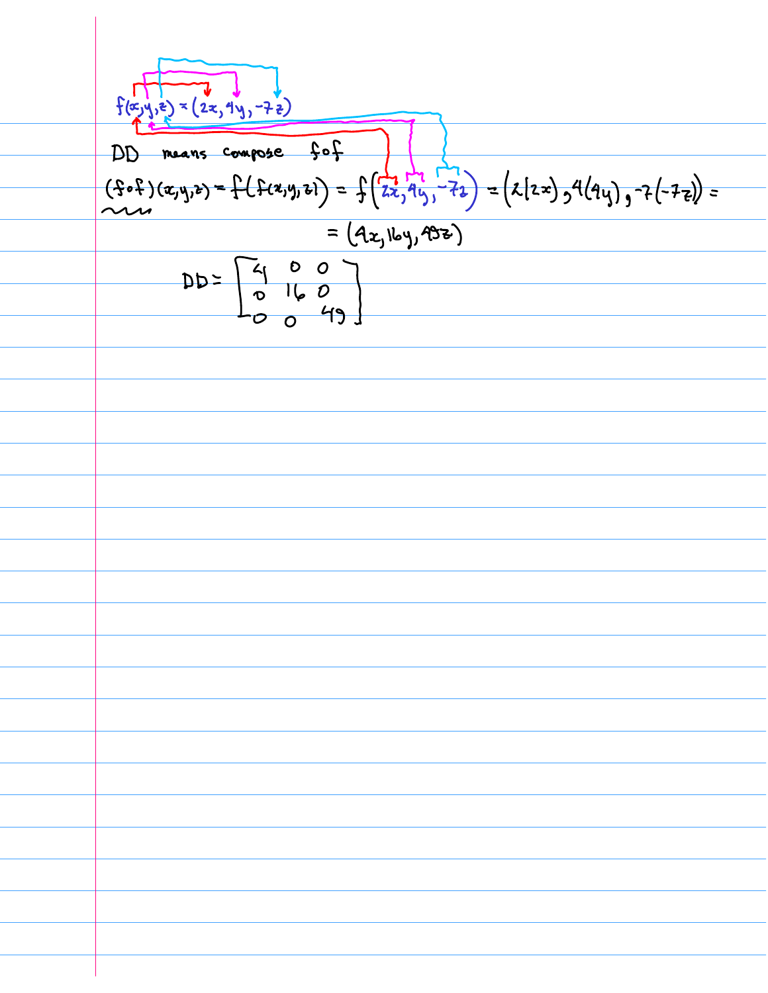$$
\frac{\sqrt{\frac{1}{2}(\frac{x}{2}+\frac{1}{2})^{2}} \times (2x, 1^{4}y, -2\frac{1}{2})}{\frac{1}{2}(\frac{x}{2}+\frac{1}{2}y)}
$$
\n
$$
= (4x, 1x, 15y, 2)
$$
\n
$$
= (4x, 1x, 15y, 2)
$$
\n
$$
= (4x, 1x, 15y, 2)
$$
\n
$$
= 2x, 12y, 2y, 2z
$$
\n
$$
= 2x, 12y, 2z
$$